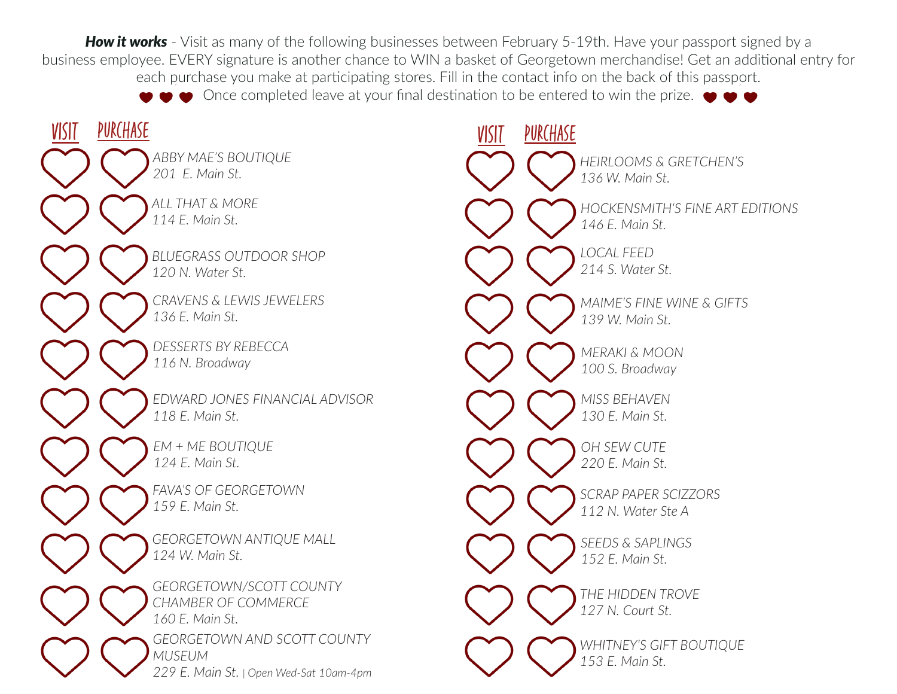**How it works** - Visit as many of the following businesses between February 5-19th. Have your passport signed by a business employee. EVERY signature is another chance to WIN a basket of Georgetown merchandise! Get an additional entry for each purchase you make at participating stores. Fill in the contact info on the back of this passport.  $\bullet$  Once completed leave at your final destination to be entered to win the prize.  $\bullet \bullet \bullet$ *EDWARD JONES FINANCIAL ADVISOR 118 E. Main St. GEORGETOWN ANTIQUE MALL 124 W. Main St. GEORGETOWN/SCOTT COUNTY CHAMBER OF COMMERCE 160 E. Main St. GEORGETOWN AND SCOTT COUNTY MUSEUM 229 E. Main St. | Open Wed-Sat 10am-4pm MISS BEHAVEN 130 E. Main St. BLUEGRASS OUTDOOR SHOP 120 N. Water St. SEEDS & SAPLINGS 152 E. Main St. CRAVENS & LEWIS JEWELERS 136 E. Main St. MAIME'S FINE WINE & GIFTS 139 W. Main St. ALL THAT & MORE 114 E. Main St. THE HIDDEN TROVE 127 N. Court St. ABBY MAE'S BOUTIQUE 201 E. Main St. WHITNEY'S GIFT BOUTIQUE 153 E. Main St. OH SEW CUTE 220 E. Main St. MERAKI & MOON 100 S. Broadway HOCKENSMITH'S FINE ART EDITIONS 146 E. Main St. HEIRLOOMS & GRETCHEN'S 136 W. Main St. EM + ME BOUTIQUE 124 E. Main St. SCRAP PAPER SCIZZORS 112 N. Water Ste A DESSERTS BY REBECCA 116 N. Broadway*  <u>VISIT PURCHASE</u> VISIT PURCHASE *FAVA'S OF GEORGETOWN 159 E. Main St. LOCAL FEED 214 S. Water St.*